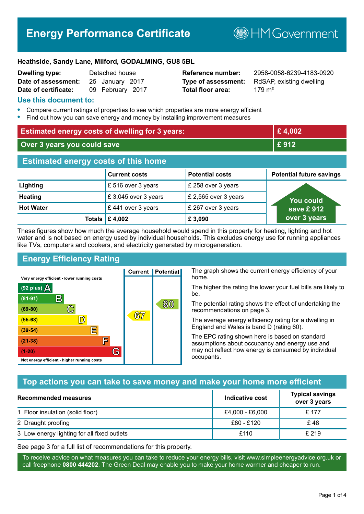# **Energy Performance Certificate**

**B**HM Government

#### **Heathside, Sandy Lane, Milford, GODALMING, GU8 5BL**

| <b>Dwelling type:</b> | Detached house |                  |  |
|-----------------------|----------------|------------------|--|
| Date of assessment:   |                | 25 January 2017  |  |
| Date of certificate:  |                | 09 February 2017 |  |

**Total floor area:** 179 m<sup>2</sup>

**Reference number:** 2958-0058-6239-4183-0920 **Type of assessment:** RdSAP, existing dwelling

#### **Use this document to:**

- **•** Compare current ratings of properties to see which properties are more energy efficient
- **•** Find out how you can save energy and money by installing improvement measures

| <b>Estimated energy costs of dwelling for 3 years:</b> |                           |                        | £4,002                          |
|--------------------------------------------------------|---------------------------|------------------------|---------------------------------|
| Over 3 years you could save                            |                           | £912                   |                                 |
| <b>Estimated energy costs of this home</b>             |                           |                        |                                 |
|                                                        | <b>Current costs</b>      | <b>Potential costs</b> | <b>Potential future savings</b> |
| Lighting                                               | £ 516 over 3 years        | £ 258 over 3 years     |                                 |
| <b>Heating</b>                                         | £3,045 over 3 years       | £ 2,565 over 3 years   | <b>You could</b>                |
| <b>Hot Water</b>                                       | £441 over 3 years         | £ 267 over 3 years     | save £ $912$                    |
|                                                        | Totals $\mathsf{E}$ 4,002 | £3,090                 | over 3 years                    |

These figures show how much the average household would spend in this property for heating, lighting and hot water and is not based on energy used by individual households. This excludes energy use for running appliances like TVs, computers and cookers, and electricity generated by microgeneration.

**Current | Potential** 

 $67$ 

## **Energy Efficiency Rating**

 $\mathbb{C}$ 

 $\mathbb{D}$ 

E

E

G

Very energy efficient - lower running costs

 $\mathsf{R}% _{T}$ 

Not energy efficient - higher running costs

 $(92$  plus)

 $(81 - 91)$ 

 $(69 - 80)$ 

 $(55-68)$ 

 $(39 - 54)$  $(21-38)$ 

 $(1-20)$ 

- 78

The graph shows the current energy efficiency of your home.

The higher the rating the lower your fuel bills are likely to be.

The potential rating shows the effect of undertaking the recommendations on page 3.

The average energy efficiency rating for a dwelling in England and Wales is band D (rating 60).

The EPC rating shown here is based on standard assumptions about occupancy and energy use and may not reflect how energy is consumed by individual occupants.

## **Top actions you can take to save money and make your home more efficient**

80

| Recommended measures                        | Indicative cost | <b>Typical savings</b><br>over 3 years |
|---------------------------------------------|-----------------|----------------------------------------|
| 1 Floor insulation (solid floor)            | £4,000 - £6,000 | £ 177                                  |
| 2 Draught proofing                          | £80 - £120      | £48                                    |
| 3 Low energy lighting for all fixed outlets | £110            | £ 219                                  |

See page 3 for a full list of recommendations for this property.

To receive advice on what measures you can take to reduce your energy bills, visit www.simpleenergyadvice.org.uk or call freephone **0800 444202**. The Green Deal may enable you to make your home warmer and cheaper to run.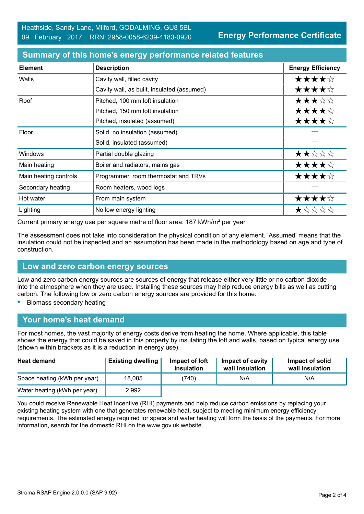| <b>Element</b>        | <b>Description</b>                         | <b>Energy Efficiency</b> |
|-----------------------|--------------------------------------------|--------------------------|
| Walls                 | Cavity wall, filled cavity                 | ★★★★☆                    |
|                       | Cavity wall, as built, insulated (assumed) | ★★★★☆                    |
| Roof                  | Pitched, 100 mm loft insulation            | ★★★☆☆                    |
|                       | Pitched, 150 mm loft insulation            | ★★★★☆                    |
|                       | Pitched, insulated (assumed)               | ★★★★☆                    |
| Floor                 | Solid, no insulation (assumed)             |                          |
|                       | Solid, insulated (assumed)                 |                          |
| Windows               | Partial double glazing                     | ★★☆☆☆                    |
| Main heating          | Boiler and radiators, mains gas            | ★★★★☆                    |
| Main heating controls | Programmer, room thermostat and TRVs       | ★★★★☆                    |
| Secondary heating     | Room heaters, wood logs                    |                          |
| Hot water             | From main system                           | ★★★★☆                    |
| Lighting              | No low energy lighting                     | ★☆☆☆☆                    |

#### **Summary of this home's energy performance related features**

Current primary energy use per square metre of floor area: 187 kWh/m² per year

The assessment does not take into consideration the physical condition of any element. 'Assumed' means that the insulation could not be inspected and an assumption has been made in the methodology based on age and type of construction.

#### **Low and zero carbon energy sources**

Low and zero carbon energy sources are sources of energy that release either very little or no carbon dioxide into the atmosphere when they are used. Installing these sources may help reduce energy bills as well as cutting carbon. The following low or zero carbon energy sources are provided for this home:

**•** Biomass secondary heating

#### **Your home's heat demand**

For most homes, the vast majority of energy costs derive from heating the home. Where applicable, this table shows the energy that could be saved in this property by insulating the loft and walls, based on typical energy use (shown within brackets as it is a reduction in energy use).

| <b>Heat demand</b>           | <b>Existing dwelling</b> | Impact of loft<br>insulation | Impact of cavity<br>wall insulation | Impact of solid<br>wall insulation |
|------------------------------|--------------------------|------------------------------|-------------------------------------|------------------------------------|
| Space heating (kWh per year) | 18,085                   | (740)                        | N/A                                 | N/A                                |
| Water heating (kWh per year) | 2,992                    |                              |                                     |                                    |

You could receive Renewable Heat Incentive (RHI) payments and help reduce carbon emissions by replacing your existing heating system with one that generates renewable heat, subject to meeting minimum energy efficiency requirements. The estimated energy required for space and water heating will form the basis of the payments. For more information, search for the domestic RHI on the www.gov.uk website.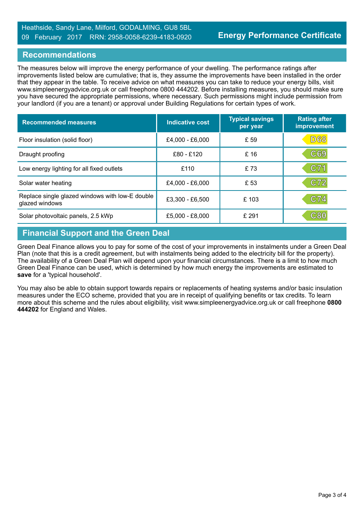#### Heathside, Sandy Lane, Milford, GODALMING, GU8 5BL 09 February 2017 RRN: 2958-0058-6239-4183-0920

### **Recommendations**

The measures below will improve the energy performance of your dwelling. The performance ratings after improvements listed below are cumulative; that is, they assume the improvements have been installed in the order that they appear in the table. To receive advice on what measures you can take to reduce your energy bills, visit www.simpleenergyadvice.org.uk or call freephone 0800 444202. Before installing measures, you should make sure you have secured the appropriate permissions, where necessary. Such permissions might include permission from your landlord (if you are a tenant) or approval under Building Regulations for certain types of work.

| <b>Recommended measures</b>                                       | Indicative cost   | <b>Typical savings</b><br>per year | <b>Rating after</b><br>improvement |
|-------------------------------------------------------------------|-------------------|------------------------------------|------------------------------------|
| Floor insulation (solid floor)                                    | £4,000 - £6,000   | £ 59                               | <b>D68</b>                         |
| Draught proofing                                                  | £80 - £120        | £ 16                               | C69                                |
| Low energy lighting for all fixed outlets                         | £110              | £73                                | C71                                |
| Solar water heating                                               | $£4,000 - £6,000$ | £ 53                               | C72                                |
| Replace single glazed windows with low-E double<br>glazed windows | £3,300 - £6,500   | £103                               | C74                                |
| Solar photovoltaic panels, 2.5 kWp                                | £5,000 - £8,000   | £ 291                              | ${\bf C}80$                        |

## **Financial Support and the Green Deal**

Green Deal Finance allows you to pay for some of the cost of your improvements in instalments under a Green Deal Plan (note that this is a credit agreement, but with instalments being added to the electricity bill for the property). The availability of a Green Deal Plan will depend upon your financial circumstances. There is a limit to how much Green Deal Finance can be used, which is determined by how much energy the improvements are estimated to **save** for a 'typical household'.

You may also be able to obtain support towards repairs or replacements of heating systems and/or basic insulation measures under the ECO scheme, provided that you are in receipt of qualifying benefits or tax credits. To learn more about this scheme and the rules about eligibility, visit www.simpleenergyadvice.org.uk or call freephone **0800 444202** for England and Wales.